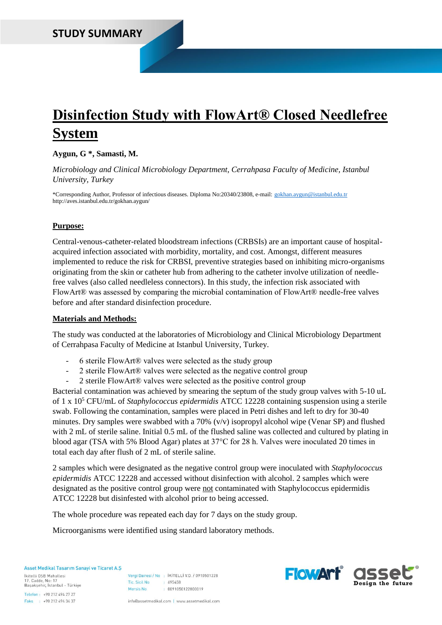# **Disinfection Study with FlowArt® Closed Needlefree System**

**Aygun, G \*, Samasti, M.**

*Microbiology and Clinical Microbiology Department, Cerrahpasa Faculty of Medicine, Istanbul University, Turkey*

\*Corresponding Author, Professor of infectious diseases. Diploma No:20340/23808, e-mail: [gokhan.aygun@istanbul.edu.tr](mailto:gokhan.aygun@istanbul.edu.tr) http://aves.istanbul.edu.tr/gokhan.aygun/

## **Purpose:**

Central-venous-catheter-related bloodstream infections (CRBSIs) are an important cause of hospitalacquired infection associated with morbidity, mortality, and cost. Amongst, different measures implemented to reduce the risk for CRBSI, preventive strategies based on inhibiting micro-organisms originating from the skin or catheter hub from adhering to the catheter involve utilization of needlefree valves (also called needleless connectors). In this study, the infection risk associated with FlowArt<sup>®</sup> was assessed by comparing the microbial contamination of FlowArt<sup>®</sup> needle-free valves before and after standard disinfection procedure.

## **Materials and Methods:**

The study was conducted at the laboratories of Microbiology and Clinical Microbiology Department of Cerrahpasa Faculty of Medicine at Istanbul University, Turkey.

- 6 sterile FlowArt® valves were selected as the study group
- 2 sterile FlowArt® valves were selected as the negative control group
- 2 sterile FlowArt® valves were selected as the positive control group

Bacterial contamination was achieved by smearing the septum of the study group valves with 5-10 uL of 1 x 10<sup>5</sup> CFU/mL of *Staphylococcus epidermidis* ATCC 12228 containing suspension using a sterile swab. Following the contamination, samples were placed in Petri dishes and left to dry for 30-40 minutes. Dry samples were swabbed with a 70% (v/v) isopropyl alcohol wipe (Venar SP) and flushed with 2 mL of sterile saline. Initial 0.5 mL of the flushed saline was collected and cultured by plating in blood agar (TSA with 5% Blood Agar) plates at 37°C for 28 h. Valves were inoculated 20 times in total each day after flush of 2 mL of sterile saline.

2 samples which were designated as the negative control group were inoculated with *Staphylococcus epidermidis* ATCC 12228 and accessed without disinfection with alcohol. 2 samples which were designated as the positive control group were not contaminated with Staphylococcus epidermidis ATCC 12228 but disinfested with alcohol prior to being accessed.

The whole procedure was repeated each day for 7 days on the study group.

Microorganisms were identified using standard laboratory methods.

Asset Medikal Tasarım Sanavi ve Ticaret A.S.

İkitelli OSB Mahallesi 17. Cadde, No: 17<br>Başakşehir, İstanbul - Türkiye

Vergi Dairesi / No : İKİTELLİ V.D. / 0910501228  $695458$ Tic. Sicil No.  $: 0091050122800019$ Mersis No

Telefon: +90 212 494 27 27 Faks : +90 212 494 34 37

info@assetmedikal.com | www.assetmedikal.com